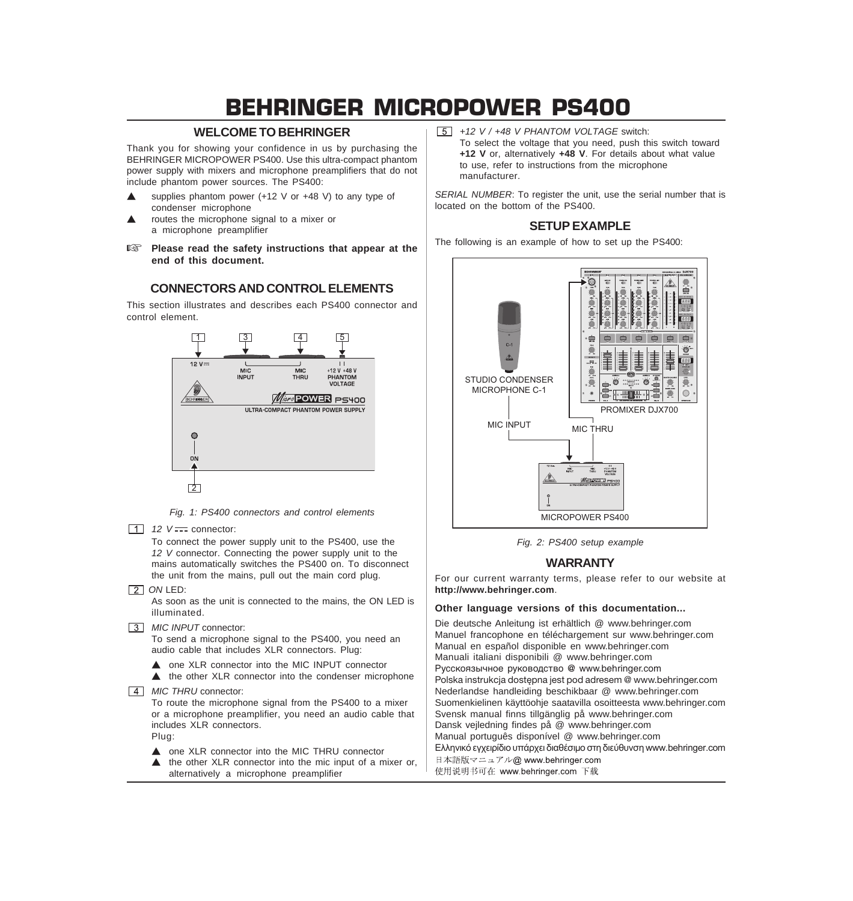# BEHRINGER MICROPOWER PS400

# **WELCOME TO BEHRINGER**

Thank you for showing your confidence in us by purchasing the BEHRINGER MICROPOWER PS400. Use this ultra-compact phantom power supply with mixers and microphone preamplifiers that do not include phantom power sources. The PS400:

- Supplies phantom power  $(+12 \text{ V or } +48 \text{ V})$  to any type of condenser microphone
- routes the microphone signal to a mixer or a microphone preamplifier
- **Please read the safety instructions that appear at the end of this document.**

# **CONNECTORS AND CONTROL ELEMENTS**

This section illustrates and describes each PS400 connector and control element.



*Fig. 1: PS400 connectors and control elements*

 $\boxed{1}$  *12 V*  $\frac{1}{2}$  connector:

To connect the power supply unit to the PS400, use the *12 V* connector. Connecting the power supply unit to the mains automatically switches the PS400 on. To disconnect the unit from the mains, pull out the main cord plug.

**2** *ON LED:* 

As soon as the unit is connected to the mains, the ON LED is illuminated.

*MIC INPUT* connector:

To send a microphone signal to the PS400, you need an audio cable that includes XLR connectors. Plug:

- ▲ one XLR connector into the MIC INPUT connector
- $\triangle$  the other XLR connector into the condenser microphone
- *MIC THRU* connector:

To route the microphone signal from the PS400 to a mixer or a microphone preamplifier, you need an audio cable that includes XLR connectors. Plug:

- ▲ one XLR connector into the MIC THRU connector
- $\triangle$  the other XLR connector into the mic input of a mixer or, alternatively a microphone preamplifier

*+12 V / +48 V PHANTOM VOLTAGE* switch: To select the voltage that you need, push this switch toward **+12 V** or, alternatively **+48 V**. For details about what value to use, refer to instructions from the microphone manufacturer.

*SERIAL NUMBER*: To register the unit, use the serial number that is located on the bottom of the PS400.



The following is an example of how to set up the PS400:



*Fig. 2: PS400 setup example*

## **WARRANTY**

For our current warranty terms, please refer to our website at **http://www.behringer.com**.

### **Other language versions of this documentation...**

Die deutsche Anleitung ist erhältlich @ www.behringer.com Manuel francophone en téléchargement sur www.behringer.com Manual en español disponible en www.behringer.com Manuali italiani disponibili @ www.behringer.com Русскоязычное руководство @ www.behringer.com Polska instrukcja dostępna jest pod adresem @ www.behringer.com Nederlandse handleiding beschikbaar @ www.behringer.com Suomenkielinen käyttöohje saatavilla osoitteesta www.behringer.com Svensk manual finns tillgänglig på www.behringer.com Dansk vejledning findes på @ www.behringer.com Manual português disponível @ www.behringer.com Eλληνικό εγχειρίδιο υπάρχει διαθέσιμο στη διεύθυνση www.behringer.com 日本語版マニュアル@ www.behringer.com 使用说明书可在 www.behringer.com 下载